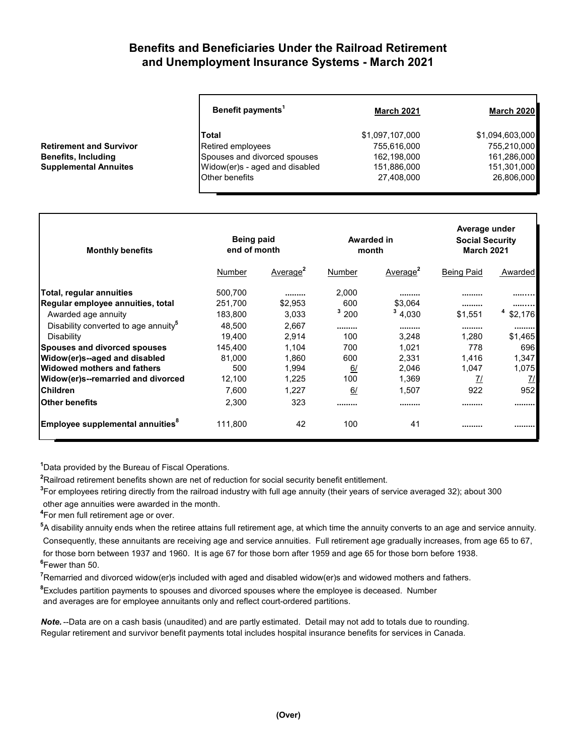## **Benefits and Beneficiaries Under the Railroad Retirement and Unemployment Insurance Systems - March 2021**

|                                | Benefit payments <sup>1</sup>  | <b>March 2021</b> | <b>March 2020</b> |  |
|--------------------------------|--------------------------------|-------------------|-------------------|--|
|                                | <b>Total</b>                   | \$1,097,107,000   | \$1,094,603,000   |  |
| <b>Retirement and Survivor</b> | <b>Retired employees</b>       | 755.616.000       | 755.210.000       |  |
| <b>Benefits, Including</b>     | Spouses and divorced spouses   | 162.198.000       | 161,286,000       |  |
| <b>Supplemental Annuites</b>   | Widow(er)s - aged and disabled | 151,886,000       | 151,301,000       |  |
|                                | Other benefits                 | 27,408,000        | 26,806,000        |  |

| <b>Monthly benefits</b>                          | Being paid<br>end of month |                      | Awarded in<br>month |                      | Average under<br><b>Social Security</b><br><b>March 2021</b> |               |
|--------------------------------------------------|----------------------------|----------------------|---------------------|----------------------|--------------------------------------------------------------|---------------|
|                                                  | <b>Number</b>              | Average <sup>2</sup> | Number              | Average <sup>2</sup> | <b>Being Paid</b>                                            | Awarded       |
| Total, regular annuities                         | 500,700                    | ---------            | 2,000               |                      |                                                              |               |
| Regular employee annuities, total                | 251,700                    | \$2,953              | 600                 | \$3,064              |                                                              |               |
| Awarded age annuity                              | 183.800                    | 3,033                | 3200                | 4,030                | \$1.551                                                      | \$2,176       |
| Disability converted to age annuity <sup>o</sup> | 48.500                     | 2.667                |                     |                      |                                                              |               |
| Disability                                       | 19.400                     | 2,914                | 100                 | 3,248                | 1.280                                                        | \$1,465       |
| <b>Spouses and divorced spouses</b>              | 145.400                    | 1.104                | 700                 | 1.021                | 778                                                          | 696           |
| Widow(er)s--aged and disabled                    | 81,000                     | 1,860                | 600                 | 2,331                | 1.416                                                        | 1,347         |
| Widowed mothers and fathers                      | 500                        | 1.994                | 6/                  | 2.046                | 1,047                                                        | 1,075         |
| <b>Widow</b> (er)s--remarried and divorced       | 12,100                     | 1,225                | 100                 | 1,369                | 71                                                           | $\frac{7}{2}$ |
| lChildren                                        | 7,600                      | 1,227                | 6/                  | 1,507                | 922                                                          | 952           |
| Other benefits                                   | 2,300                      | 323                  |                     |                      |                                                              |               |
| Employee supplemental annuities <sup>8</sup>     | 111,800                    | 42                   | 100                 | 41                   |                                                              |               |

**1** Data provided by the Bureau of Fiscal Operations.

**2** Railroad retirement benefits shown are net of reduction for social security benefit entitlement.

**3** For employees retiring directly from the railroad industry with full age annuity (their years of service averaged 32); about 300 other age annuities were awarded in the month.

**4** For men full retirement age or over.

**5** A disability annuity ends when the retiree attains full retirement age, at which time the annuity converts to an age and service annuity.

 Consequently, these annuitants are receiving age and service annuities. Full retirement age gradually increases, from age 65 to 67, for those born between 1937 and 1960. It is age 67 for those born after 1959 and age 65 for those born before 1938. **6** Fewer than 50.

**7** Remarried and divorced widow(er)s included with aged and disabled widow(er)s and widowed mothers and fathers.

**8** Excludes partition payments to spouses and divorced spouses where the employee is deceased. Number and averages are for employee annuitants only and reflect court-ordered partitions.

*Note.* --Data are on a cash basis (unaudited) and are partly estimated. Detail may not add to totals due to rounding. Regular retirement and survivor benefit payments total includes hospital insurance benefits for services in Canada.